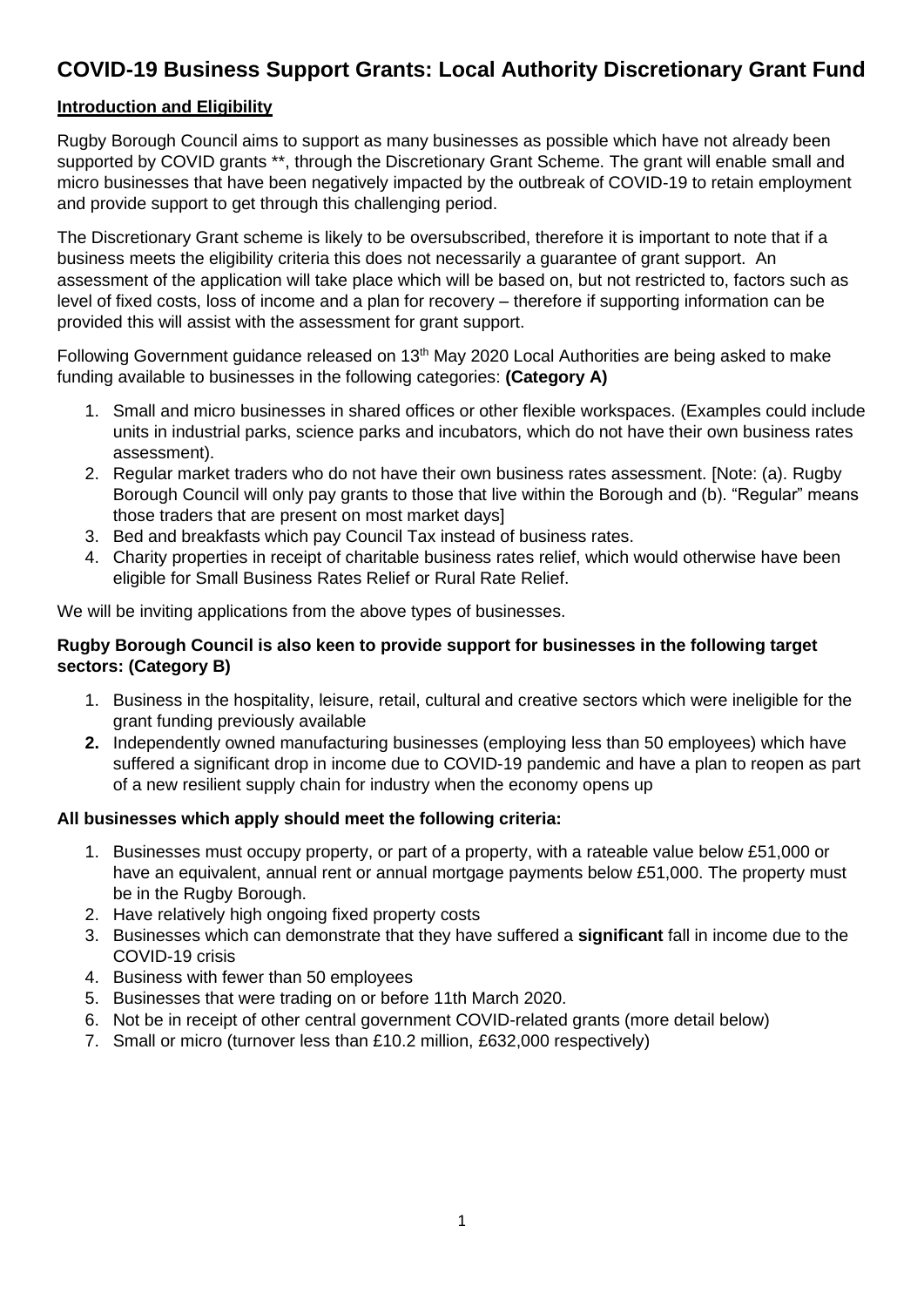# **COVID-19 Business Support Grants: Local Authority Discretionary Grant Fund**

# **Introduction and Eligibility**

Rugby Borough Council aims to support as many businesses as possible which have not already been supported by COVID grants \*\*, through the Discretionary Grant Scheme. The grant will enable small and micro businesses that have been negatively impacted by the outbreak of COVID-19 to retain employment and provide support to get through this challenging period.

The Discretionary Grant scheme is likely to be oversubscribed, therefore it is important to note that if a business meets the eligibility criteria this does not necessarily a guarantee of grant support. An assessment of the application will take place which will be based on, but not restricted to, factors such as level of fixed costs, loss of income and a plan for recovery – therefore if supporting information can be provided this will assist with the assessment for grant support.

Following Government guidance released on 13<sup>th</sup> May 2020 Local Authorities are being asked to make funding available to businesses in the following categories: **(Category A)**

- 1. Small and micro businesses in shared offices or other flexible workspaces. (Examples could include units in industrial parks, science parks and incubators, which do not have their own business rates assessment).
- 2. Regular market traders who do not have their own business rates assessment. [Note: (a). Rugby Borough Council will only pay grants to those that live within the Borough and (b). "Regular" means those traders that are present on most market days]
- 3. Bed and breakfasts which pay Council Tax instead of business rates.
- 4. Charity properties in receipt of charitable business rates relief, which would otherwise have been eligible for Small Business Rates Relief or Rural Rate Relief.

We will be inviting applications from the above types of businesses.

## **Rugby Borough Council is also keen to provide support for businesses in the following target sectors: (Category B)**

- 1. Business in the hospitality, leisure, retail, cultural and creative sectors which were ineligible for the grant funding previously available
- **2.** Independently owned manufacturing businesses (employing less than 50 employees) which have suffered a significant drop in income due to COVID-19 pandemic and have a plan to reopen as part of a new resilient supply chain for industry when the economy opens up

## **All businesses which apply should meet the following criteria:**

- 1. Businesses must occupy property, or part of a property, with a rateable value below £51,000 or have an equivalent, annual rent or annual mortgage payments below £51,000. The property must be in the Rugby Borough.
- 2. Have relatively high ongoing fixed property costs
- 3. Businesses which can demonstrate that they have suffered a **significant** fall in income due to the COVID-19 crisis
- 4. Business with fewer than 50 employees
- 5. Businesses that were trading on or before 11th March 2020.
- 6. Not be in receipt of other central government COVID-related grants (more detail below)
- 7. Small or micro (turnover less than £10.2 million, £632,000 respectively)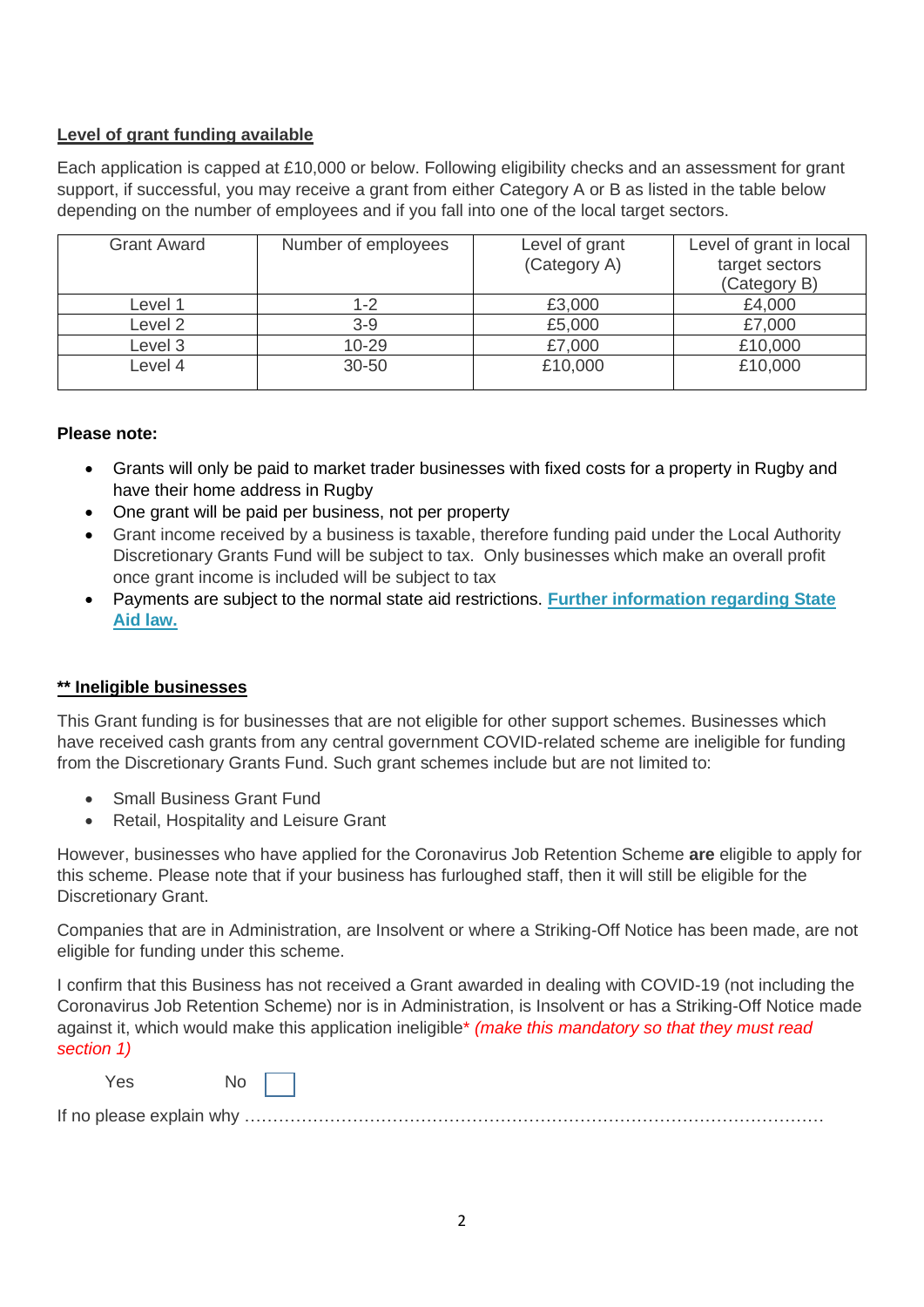# **Level of grant funding available**

Each application is capped at £10,000 or below. Following eligibility checks and an assessment for grant support, if successful, you may receive a grant from either Category A or B as listed in the table below depending on the number of employees and if you fall into one of the local target sectors.

| <b>Grant Award</b> | Number of employees | Level of grant<br>(Category A) | Level of grant in local<br>target sectors<br>(Category B) |
|--------------------|---------------------|--------------------------------|-----------------------------------------------------------|
| Level 1            | 1-2                 | £3,000                         | £4,000                                                    |
| Level <sub>2</sub> | $3-9$               | £5,000                         | £7,000                                                    |
| Level 3            | 10-29               | £7,000                         | £10,000                                                   |
| Level 4            | 30-50               | £10,000                        | £10,000                                                   |

# **Please note:**

- Grants will only be paid to market trader businesses with fixed costs for a property in Rugby and have their home address in Rugby
- One grant will be paid per business, not per property
- Grant income received by a business is taxable, therefore funding paid under the Local Authority Discretionary Grants Fund will be subject to tax. Only businesses which make an overall profit once grant income is included will be subject to tax
- Payments are subject to the normal state aid restrictions. **[Further information regarding State](https://www.gov.uk/government/publications/coronavirus-covid-19-guidance-on-business-support-grant-funding)  [Aid law.](https://www.gov.uk/government/publications/coronavirus-covid-19-guidance-on-business-support-grant-funding)**

# **\*\* Ineligible businesses**

This Grant funding is for businesses that are not eligible for other support schemes. Businesses which have received cash grants from any central government COVID-related scheme are ineligible for funding from the Discretionary Grants Fund. Such grant schemes include but are not limited to:

- Small Business Grant Fund
- Retail, Hospitality and Leisure Grant

However, businesses who have applied for the Coronavirus Job Retention Scheme **are** eligible to apply for this scheme. Please note that if your business has furloughed staff, then it will still be eligible for the Discretionary Grant.

Companies that are in Administration, are Insolvent or where a Striking-Off Notice has been made, are not eligible for funding under this scheme.

I confirm that this Business has not received a Grant awarded in dealing with COVID-19 (not including the Coronavirus Job Retention Scheme) nor is in Administration, is Insolvent or has a Striking-Off Notice made against it, which would make this application ineligible\* *(make this mandatory so that they must read section 1)*

| Yes                      |   |
|--------------------------|---|
| If no please explain why | . |